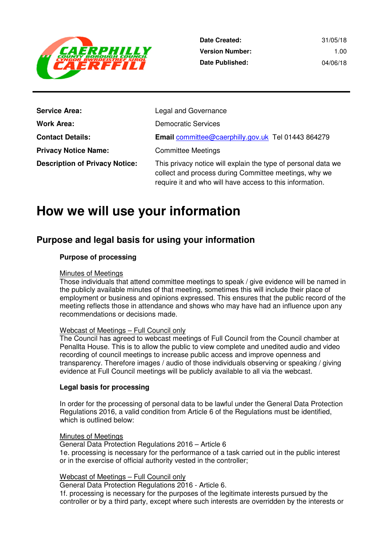

| <b>Service Area:</b>                  | Legal and Governance                                                                                                                                                               |
|---------------------------------------|------------------------------------------------------------------------------------------------------------------------------------------------------------------------------------|
| <b>Work Area:</b>                     | <b>Democratic Services</b>                                                                                                                                                         |
| <b>Contact Details:</b>               | Email committee@caerphilly.gov.uk Tel 01443 864279                                                                                                                                 |
| <b>Privacy Notice Name:</b>           | <b>Committee Meetings</b>                                                                                                                                                          |
| <b>Description of Privacy Notice:</b> | This privacy notice will explain the type of personal data we<br>collect and process during Committee meetings, why we<br>require it and who will have access to this information. |

# **How we will use your information**

# **Purpose and legal basis for using your information**

## **Purpose of processing**

### Minutes of Meetings

 Those individuals that attend committee meetings to speak / give evidence will be named in the publicly available minutes of that meeting, sometimes this will include their place of employment or business and opinions expressed. This ensures that the public record of the meeting reflects those in attendance and shows who may have had an influence upon any recommendations or decisions made.

### Webcast of Meetings – Full Council only

 The Council has agreed to webcast meetings of Full Council from the Council chamber at Penallta House. This is to allow the public to view complete and unedited audio and video recording of council meetings to increase public access and improve openness and transparency. Therefore images / audio of those individuals observing or speaking / giving evidence at Full Council meetings will be publicly available to all via the webcast.

### **Legal basis for processing**

 In order for the processing of personal data to be lawful under the General Data Protection Regulations 2016, a valid condition from Article 6 of the Regulations must be identified, which is outlined below:

#### Minutes of Meetings

 General Data Protection Regulations 2016 – Article 6 1e. processing is necessary for the performance of a task carried out in the public interest or in the exercise of official authority vested in the controller;

### Webcast of Meetings – Full Council only

General Data Protection Regulations 2016 - Article 6.

 1f. processing is necessary for the purposes of the legitimate interests pursued by the controller or by a third party, except where such interests are overridden by the interests or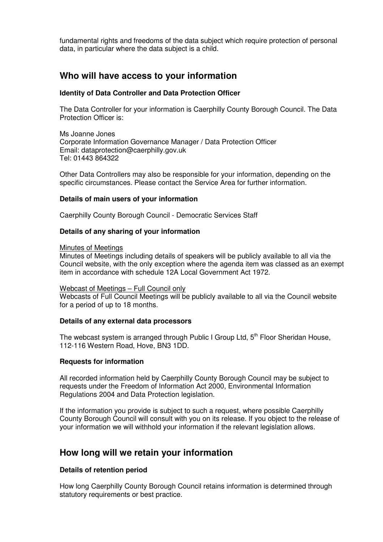fundamental rights and freedoms of the data subject which require protection of personal data, in particular where the data subject is a child.

# **Who will have access to your information**

### **Identity of Data Controller and Data Protection Officer**

 The Data Controller for your information is Caerphilly County Borough Council. The Data Protection Officer is:

 Ms Joanne Jones Corporate Information Governance Manager / Data Protection Officer Email: dataprotection@caerphilly.gov.uk Tel: 01443 864322

 Other Data Controllers may also be responsible for your information, depending on the specific circumstances. Please contact the Service Area for further information.

#### **Details of main users of your information**

Caerphilly County Borough Council - Democratic Services Staff

### **Details of any sharing of your information**

#### Minutes of Meetings

Minutes of Meetings including details of speakers will be publicly available to all via the Council website, with the only exception where the agenda item was classed as an exempt item in accordance with schedule 12A Local Government Act 1972.

#### Webcast of Meetings – Full Council only

 Webcasts of Full Council Meetings will be publicly available to all via the Council website for a period of up to 18 months.

#### **Details of any external data processors**

The webcast system is arranged through Public I Group Ltd, 5<sup>th</sup> Floor Sheridan House, 112-116 Western Road, Hove, BN3 1DD.

### **Requests for information**

 All recorded information held by Caerphilly County Borough Council may be subject to requests under the Freedom of Information Act 2000, Environmental Information Regulations 2004 and Data Protection legislation.

 If the information you provide is subject to such a request, where possible Caerphilly County Borough Council will consult with you on its release. If you object to the release of your information we will withhold your information if the relevant legislation allows.

# **How long will we retain your information**

### **Details of retention period**

 How long Caerphilly County Borough Council retains information is determined through statutory requirements or best practice.